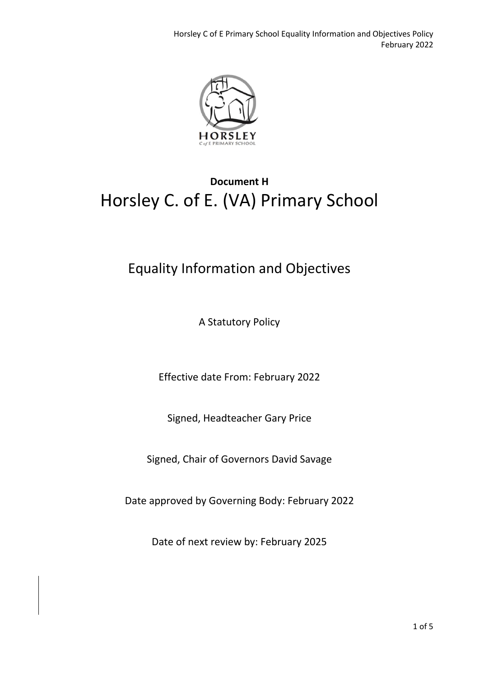

## **Document H** Horsley C. of E. (VA) Primary School

### Equality Information and Objectives

A Statutory Policy

Effective date From: February 2022

Signed, Headteacher Gary Price

Signed, Chair of Governors David Savage

Date approved by Governing Body: February 2022

Date of next review by: February 2025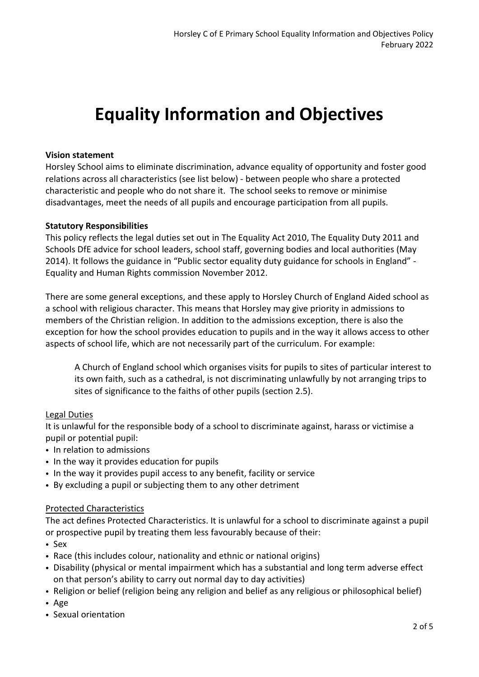# **Equality Information and Objectives**

#### **Vision statement**

Horsley School aims to eliminate discrimination, advance equality of opportunity and foster good relations across all characteristics (see list below) - between people who share a protected characteristic and people who do not share it. The school seeks to remove or minimise disadvantages, meet the needs of all pupils and encourage participation from all pupils.

#### **Statutory Responsibilities**

This policy reflects the legal duties set out in The Equality Act 2010, The Equality Duty 2011 and Schools DfE advice for school leaders, school staff, governing bodies and local authorities (May 2014). It follows the guidance in "Public sector equality duty guidance for schools in England" - Equality and Human Rights commission November 2012.

There are some general exceptions, and these apply to Horsley Church of England Aided school as a school with religious character. This means that Horsley may give priority in admissions to members of the Christian religion. In addition to the admissions exception, there is also the exception for how the school provides education to pupils and in the way it allows access to other aspects of school life, which are not necessarily part of the curriculum. For example:

A Church of England school which organises visits for pupils to sites of particular interest to its own faith, such as a cathedral, is not discriminating unlawfully by not arranging trips to sites of significance to the faiths of other pupils (section 2.5).

#### Legal Duties

It is unlawful for the responsible body of a school to discriminate against, harass or victimise a pupil or potential pupil:

- In relation to admissions
- In the way it provides education for pupils
- In the way it provides pupil access to any benefit, facility or service
- By excluding a pupil or subjecting them to any other detriment

#### Protected Characteristics

The act defines Protected Characteristics. It is unlawful for a school to discriminate against a pupil or prospective pupil by treating them less favourably because of their:

- Sex
- Race (this includes colour, nationality and ethnic or national origins)
- Disability (physical or mental impairment which has a substantial and long term adverse effect on that person's ability to carry out normal day to day activities)
- Religion or belief (religion being any religion and belief as any religious or philosophical belief)
- Age
- Sexual orientation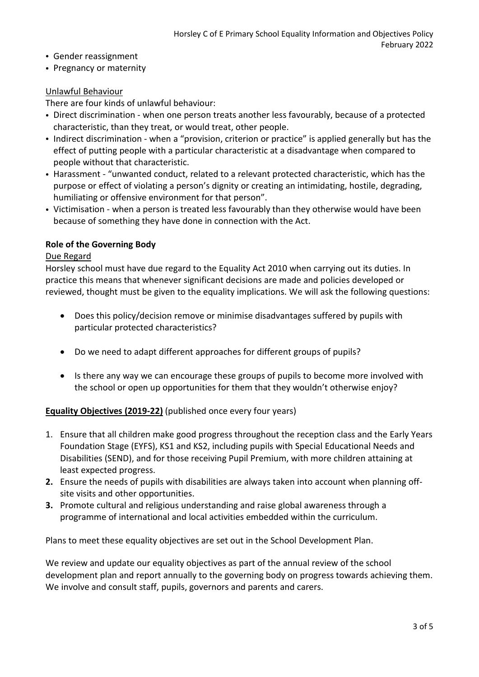- Gender reassignment
- Pregnancy or maternity

#### Unlawful Behaviour

There are four kinds of unlawful behaviour:

- Direct discrimination when one person treats another less favourably, because of a protected characteristic, than they treat, or would treat, other people.
- Indirect discrimination when a "provision, criterion or practice" is applied generally but has the effect of putting people with a particular characteristic at a disadvantage when compared to people without that characteristic.
- Harassment "unwanted conduct, related to a relevant protected characteristic, which has the purpose or effect of violating a person's dignity or creating an intimidating, hostile, degrading, humiliating or offensive environment for that person".
- Victimisation when a person is treated less favourably than they otherwise would have been because of something they have done in connection with the Act.

#### **Role of the Governing Body**

#### Due Regard

Horsley school must have due regard to the Equality Act 2010 when carrying out its duties. In practice this means that whenever significant decisions are made and policies developed or reviewed, thought must be given to the equality implications. We will ask the following questions:

- Does this policy/decision remove or minimise disadvantages suffered by pupils with particular protected characteristics?
- Do we need to adapt different approaches for different groups of pupils?
- Is there any way we can encourage these groups of pupils to become more involved with the school or open up opportunities for them that they wouldn't otherwise enjoy?

#### **Equality Objectives (2019-22)** (published once every four years)

- 1. Ensure that all children make good progress throughout the reception class and the Early Years Foundation Stage (EYFS), KS1 and KS2, including pupils with Special Educational Needs and Disabilities (SEND), and for those receiving Pupil Premium, with more children attaining at least expected progress.
- **2.** Ensure the needs of pupils with disabilities are always taken into account when planning offsite visits and other opportunities.
- **3.** Promote cultural and religious understanding and raise global awareness through a programme of international and local activities embedded within the curriculum.

Plans to meet these equality objectives are set out in the School Development Plan.

We review and update our equality objectives as part of the annual review of the school development plan and report annually to the governing body on progress towards achieving them. We involve and consult staff, pupils, governors and parents and carers.